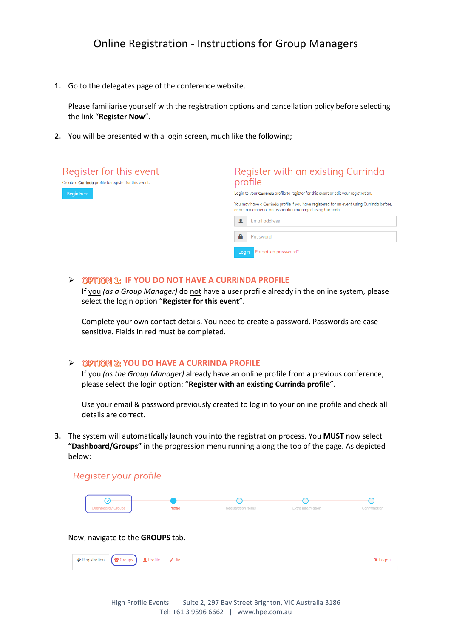# Online Registration - Instructions for Group Managers

**1.** Go to the delegates page of the conference website.

Please familiarise yourself with the registration options and cancellation policy before selecting the link "**Register Now**".

**2.** You will be presented with a login screen, much like the following;



#### ➢ **IF YOU DO NOT HAVE A CURRINDA PROFILE**

If you *(as a Group Manager)* do not have a user profile already in the online system, please select the login option "**Register for this event**".

Complete your own contact details. You need to create a password. Passwords are case sensitive. Fields in red must be completed.

### ➢ **YOU DO HAVE A CURRINDA PROFILE**

If you *(as the Group Manager)* already have an online profile from a previous conference, please select the login option: "**Register with an existing Currinda profile**".

Use your email & password previously created to log in to your online profile and check all details are correct.

**3.** The system will automatically launch you into the registration process. You **MUST** now select **"Dashboard/Groups"** in the progression menu running along the top of the page. As depicted below:

### Register your profile



Now, navigate to the **GROUPS** tab.

| Registration <b>&amp;</b> Groups <b>1</b> Profile <b>/</b> Bio |  |  |  |
|----------------------------------------------------------------|--|--|--|
|                                                                |  |  |  |